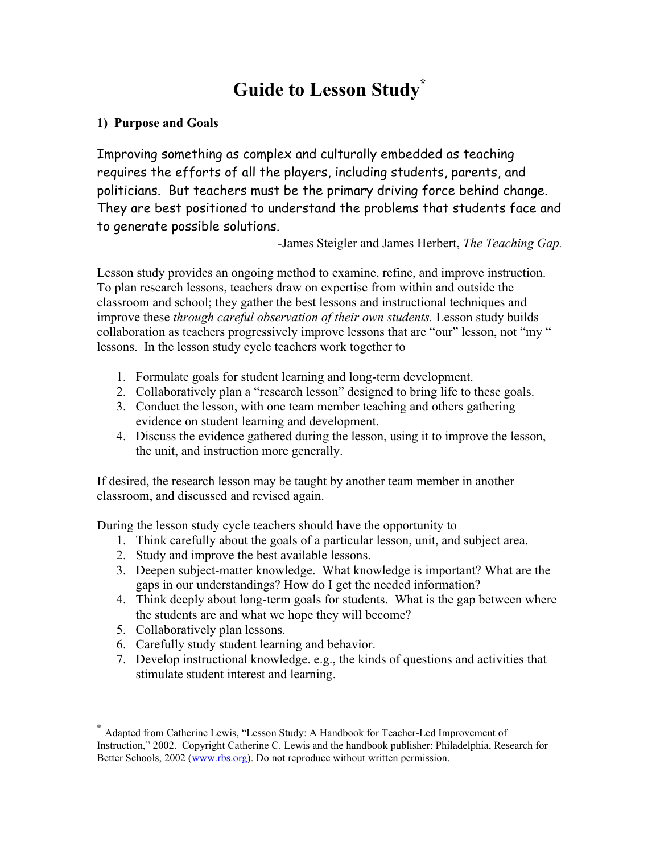# **Guide to Lesson Study\***

### **1) Purpose and Goals**

Improving something as complex and culturally embedded as teaching requires the efforts of all the players, including students, parents, and politicians. But teachers must be the primary driving force behind change. They are best positioned to understand the problems that students face and to generate possible solutions.

-James Steigler and James Herbert, *The Teaching Gap.*

Lesson study provides an ongoing method to examine, refine, and improve instruction. To plan research lessons, teachers draw on expertise from within and outside the classroom and school; they gather the best lessons and instructional techniques and improve these *through careful observation of their own students.* Lesson study builds collaboration as teachers progressively improve lessons that are "our" lesson, not "my " lessons. In the lesson study cycle teachers work together to

- 1. Formulate goals for student learning and long-term development.
- 2. Collaboratively plan a "research lesson" designed to bring life to these goals.
- 3. Conduct the lesson, with one team member teaching and others gathering evidence on student learning and development.
- 4. Discuss the evidence gathered during the lesson, using it to improve the lesson, the unit, and instruction more generally.

If desired, the research lesson may be taught by another team member in another classroom, and discussed and revised again.

During the lesson study cycle teachers should have the opportunity to

- 1. Think carefully about the goals of a particular lesson, unit, and subject area.
- 2. Study and improve the best available lessons.
- 3. Deepen subject-matter knowledge. What knowledge is important? What are the gaps in our understandings? How do I get the needed information?
- 4. Think deeply about long-term goals for students. What is the gap between where the students are and what we hope they will become?
- 5. Collaboratively plan lessons.
- 6. Carefully study student learning and behavior.
- 7. Develop instructional knowledge. e.g., the kinds of questions and activities that stimulate student interest and learning.

Adapted from Catherine Lewis, "Lesson Study: A Handbook for Teacher-Led Improvement of Instruction," 2002. Copyright Catherine C. Lewis and the handbook publisher: Philadelphia, Research for Better Schools, 2002 (www.rbs.org). Do not reproduce without written permission.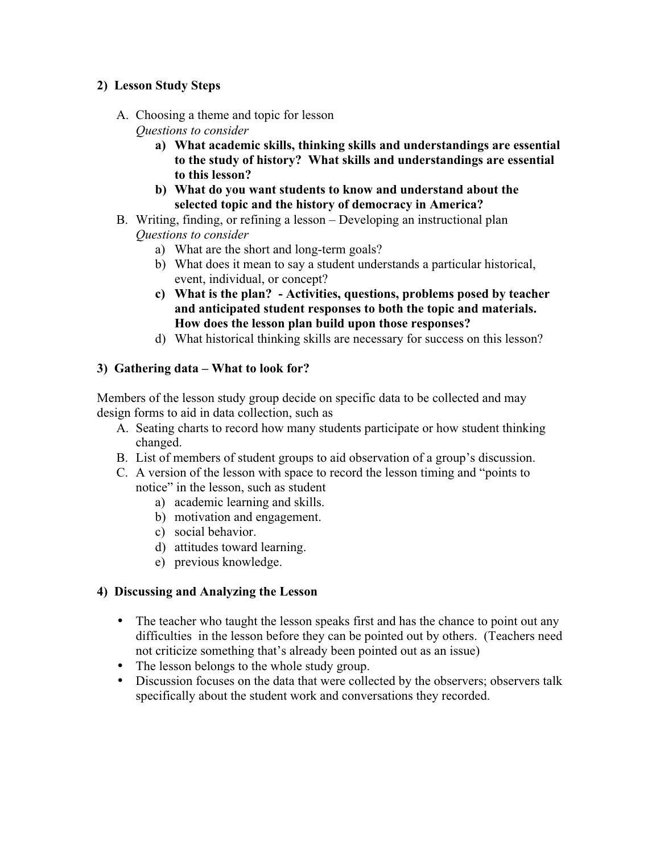#### **2) Lesson Study Steps**

- A. Choosing a theme and topic for lesson *Questions to consider*
	- **a) What academic skills, thinking skills and understandings are essential to the study of history? What skills and understandings are essential to this lesson?**
	- **b) What do you want students to know and understand about the selected topic and the history of democracy in America?**
- B. Writing, finding, or refining a lesson Developing an instructional plan *Questions to consider*
	- a) What are the short and long-term goals?
	- b) What does it mean to say a student understands a particular historical, event, individual, or concept?
	- **c) What is the plan? Activities, questions, problems posed by teacher and anticipated student responses to both the topic and materials. How does the lesson plan build upon those responses?**
	- d) What historical thinking skills are necessary for success on this lesson?

## **3) Gathering data – What to look for?**

Members of the lesson study group decide on specific data to be collected and may design forms to aid in data collection, such as

- A. Seating charts to record how many students participate or how student thinking changed.
- B. List of members of student groups to aid observation of a group's discussion.
- C. A version of the lesson with space to record the lesson timing and "points to notice" in the lesson, such as student
	- a) academic learning and skills.
	- b) motivation and engagement.
	- c) social behavior.
	- d) attitudes toward learning.
	- e) previous knowledge.

## **4) Discussing and Analyzing the Lesson**

- The teacher who taught the lesson speaks first and has the chance to point out any difficulties in the lesson before they can be pointed out by others. (Teachers need not criticize something that's already been pointed out as an issue)
- The lesson belongs to the whole study group.
- Discussion focuses on the data that were collected by the observers; observers talk specifically about the student work and conversations they recorded.